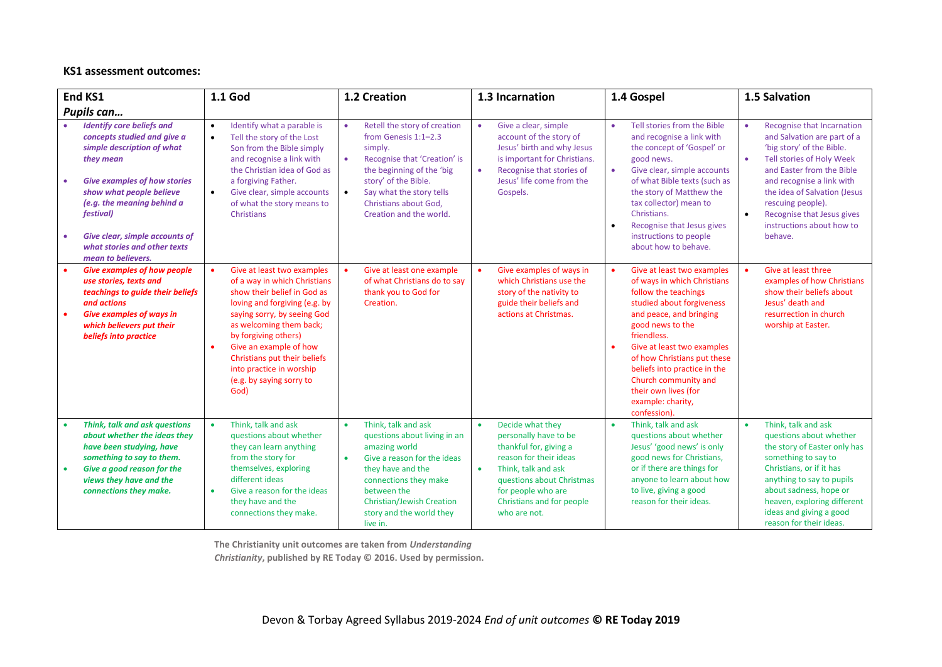## **KS1 assessment outcomes:**

| End KS1                                                                                                                                                                                                                                                                                                          | 1.1 God                                                                                                                                                                                                                                                                                                                                             | 1.2 Creation                                                                                                                                                                                                                                                                | 1.3 Incarnation                                                                                                                                                                                                                                | 1.4 Gospel                                                                                                                                                                                                                                                                                                                                                     | 1.5 Salvation                                                                                                                                                                                                                                                                                            |
|------------------------------------------------------------------------------------------------------------------------------------------------------------------------------------------------------------------------------------------------------------------------------------------------------------------|-----------------------------------------------------------------------------------------------------------------------------------------------------------------------------------------------------------------------------------------------------------------------------------------------------------------------------------------------------|-----------------------------------------------------------------------------------------------------------------------------------------------------------------------------------------------------------------------------------------------------------------------------|------------------------------------------------------------------------------------------------------------------------------------------------------------------------------------------------------------------------------------------------|----------------------------------------------------------------------------------------------------------------------------------------------------------------------------------------------------------------------------------------------------------------------------------------------------------------------------------------------------------------|----------------------------------------------------------------------------------------------------------------------------------------------------------------------------------------------------------------------------------------------------------------------------------------------------------|
| Pupils can                                                                                                                                                                                                                                                                                                       |                                                                                                                                                                                                                                                                                                                                                     |                                                                                                                                                                                                                                                                             |                                                                                                                                                                                                                                                |                                                                                                                                                                                                                                                                                                                                                                |                                                                                                                                                                                                                                                                                                          |
| <b>Identify core beliefs and</b><br>concepts studied and give a<br>simple description of what<br>they mean<br><b>Give examples of how stories</b><br>show what people believe<br>(e.g. the meaning behind a<br>festival)<br>Give clear, simple accounts of<br>what stories and other texts<br>mean to believers. | Identify what a parable is<br>$\bullet$<br>Tell the story of the Lost<br>$\bullet$<br>Son from the Bible simply<br>and recognise a link with<br>the Christian idea of God as<br>a forgiving Father.<br>Give clear, simple accounts<br>$\bullet$<br>of what the story means to<br><b>Christians</b>                                                  | Retell the story of creation<br>$\bullet$<br>from Genesis 1:1-2.3<br>simply.<br>$\bullet$<br>Recognise that 'Creation' is<br>the beginning of the 'big<br>story' of the Bible.<br>Say what the story tells<br>$\bullet$<br>Christians about God,<br>Creation and the world. | Give a clear, simple<br>$\bullet$<br>account of the story of<br>Jesus' birth and why Jesus<br>is important for Christians.<br>Recognise that stories of<br>Jesus' life come from the<br>Gospels.                                               | Tell stories from the Bible<br>٠<br>and recognise a link with<br>the concept of 'Gospel' or<br>good news.<br>Give clear, simple accounts<br>٠<br>of what Bible texts (such as<br>the story of Matthew the<br>tax collector) mean to<br>Christians.<br>Recognise that Jesus gives<br>$\bullet$<br>instructions to people<br>about how to behave.                | Recognise that Incarnation<br>and Salvation are part of a<br>'big story' of the Bible.<br>Tell stories of Holy Week<br>and Easter from the Bible<br>and recognise a link with<br>the idea of Salvation (Jesus<br>rescuing people).<br>Recognise that Jesus gives<br>instructions about how to<br>behave. |
| <b>Give examples of how people</b><br>use stories, texts and<br>teachings to guide their beliefs<br>and actions<br><b>Give examples of ways in</b><br>which believers put their<br>beliefs into practice                                                                                                         | Give at least two examples<br>of a way in which Christians<br>show their belief in God as<br>loving and forgiving (e.g. by<br>saying sorry, by seeing God<br>as welcoming them back;<br>by forgiving others)<br>Give an example of how<br>$\bullet$<br>Christians put their beliefs<br>into practice in worship<br>(e.g. by saying sorry to<br>God) | Give at least one example<br>of what Christians do to say<br>thank you to God for<br>Creation.                                                                                                                                                                              | Give examples of ways in<br>which Christians use the<br>story of the nativity to<br>guide their beliefs and<br>actions at Christmas.                                                                                                           | Give at least two examples<br>of ways in which Christians<br>follow the teachings<br>studied about forgiveness<br>and peace, and bringing<br>good news to the<br>friendless.<br>Give at least two examples<br>of how Christians put these<br>beliefs into practice in the<br>Church community and<br>their own lives (for<br>example: charity,<br>confession). | Give at least three<br>examples of how Christians<br>show their beliefs about<br>Jesus' death and<br>resurrection in church<br>worship at Easter.                                                                                                                                                        |
| Think, talk and ask questions<br>about whether the ideas they<br>have been studying, have<br>something to say to them.<br>Give a good reason for the<br>$\bullet$<br>views they have and the<br>connections they make.                                                                                           | Think, talk and ask<br>$\bullet$<br>questions about whether<br>they can learn anything<br>from the story for<br>themselves, exploring<br>different ideas<br>Give a reason for the ideas<br>$\bullet$<br>they have and the<br>connections they make.                                                                                                 | Think, talk and ask<br>$\bullet$<br>questions about living in an<br>amazing world<br>Give a reason for the ideas<br>$\bullet$<br>they have and the<br>connections they make<br>between the<br><b>Christian/Jewish Creation</b><br>story and the world they<br>live in.      | Decide what they<br>$\bullet$<br>personally have to be<br>thankful for, giving a<br>reason for their ideas<br>Think, talk and ask<br>$\bullet$<br>questions about Christmas<br>for people who are<br>Christians and for people<br>who are not. | Think, talk and ask<br>$\bullet$<br>questions about whether<br>Jesus' 'good news' is only<br>good news for Christians,<br>or if there are things for<br>anyone to learn about how<br>to live, giving a good<br>reason for their ideas.                                                                                                                         | Think, talk and ask<br>questions about whether<br>the story of Easter only has<br>something to say to<br>Christians, or if it has<br>anything to say to pupils<br>about sadness, hope or<br>heaven, exploring different<br>ideas and giving a good<br>reason for their ideas.                            |

**The Christianity unit outcomes are taken from** *Understanding Christianity***, published by RE Today © 2016. Used by permission.**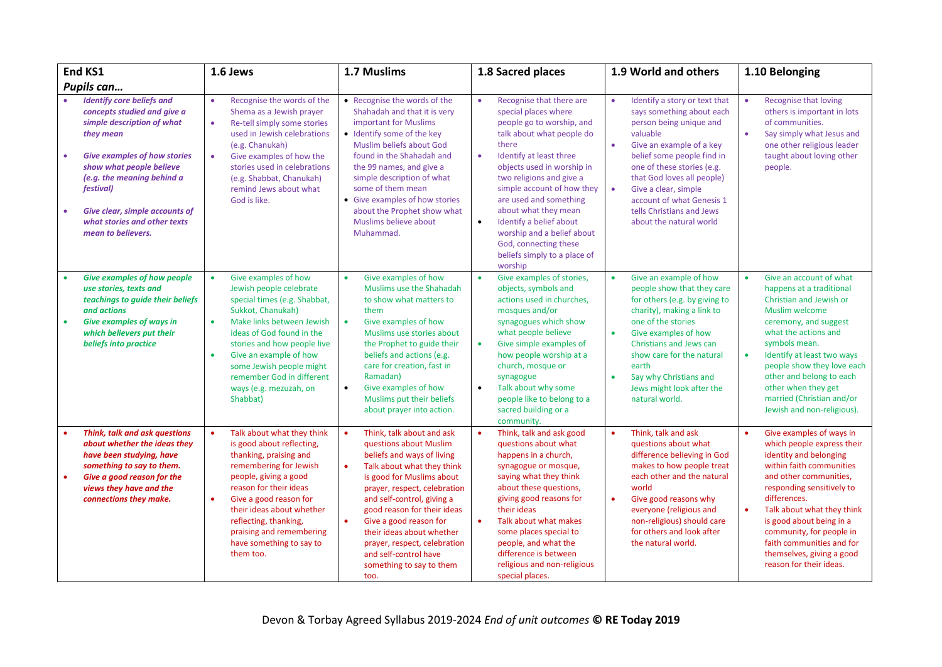| End KS1                                                                                                                                                                                                                                                                                                                                            | 1.6 Jews                                                                                                                                                                                                                                                                                                                                         | 1.7 Muslims                                                                                                                                                                                                                                                                                                                                                                                                                          | 1.8 Sacred places                                                                                                                                                                                                                                                                                                                                                                                                                                            | 1.9 World and others                                                                                                                                                                                                                                                                                                                                                        | 1.10 Belonging                                                                                                                                                                                                                                                                                                                                                 |
|----------------------------------------------------------------------------------------------------------------------------------------------------------------------------------------------------------------------------------------------------------------------------------------------------------------------------------------------------|--------------------------------------------------------------------------------------------------------------------------------------------------------------------------------------------------------------------------------------------------------------------------------------------------------------------------------------------------|--------------------------------------------------------------------------------------------------------------------------------------------------------------------------------------------------------------------------------------------------------------------------------------------------------------------------------------------------------------------------------------------------------------------------------------|--------------------------------------------------------------------------------------------------------------------------------------------------------------------------------------------------------------------------------------------------------------------------------------------------------------------------------------------------------------------------------------------------------------------------------------------------------------|-----------------------------------------------------------------------------------------------------------------------------------------------------------------------------------------------------------------------------------------------------------------------------------------------------------------------------------------------------------------------------|----------------------------------------------------------------------------------------------------------------------------------------------------------------------------------------------------------------------------------------------------------------------------------------------------------------------------------------------------------------|
| Pupils can                                                                                                                                                                                                                                                                                                                                         |                                                                                                                                                                                                                                                                                                                                                  |                                                                                                                                                                                                                                                                                                                                                                                                                                      |                                                                                                                                                                                                                                                                                                                                                                                                                                                              |                                                                                                                                                                                                                                                                                                                                                                             |                                                                                                                                                                                                                                                                                                                                                                |
| <b>Identify core beliefs and</b><br>concepts studied and give a<br>simple description of what<br>they mean<br><b>Give examples of how stories</b><br>$\bullet$<br>show what people believe<br>(e.g. the meaning behind a<br><i>festival</i> )<br>Give clear, simple accounts of<br>$\bullet$<br>what stories and other texts<br>mean to believers. | Recognise the words of the<br>$\bullet$<br>Shema as a Jewish prayer<br>Re-tell simply some stories<br>$\bullet$<br>used in Jewish celebrations<br>(e.g. Chanukah)<br>$\bullet$<br>Give examples of how the<br>stories used in celebrations<br>(e.g. Shabbat, Chanukah)<br>remind Jews about what<br>God is like.                                 | • Recognise the words of the<br>Shahadah and that it is very<br>important for Muslims<br>• Identify some of the key<br>Muslim beliefs about God<br>found in the Shahadah and<br>the 99 names, and give a<br>simple description of what<br>some of them mean<br>• Give examples of how stories<br>about the Prophet show what<br>Muslims believe about<br>Muhammad.                                                                   | Recognise that there are<br>$\bullet$<br>special places where<br>people go to worship, and<br>talk about what people do<br>there<br>Identify at least three<br>$\bullet$<br>objects used in worship in<br>two religions and give a<br>simple account of how they<br>are used and something<br>about what they mean<br>Identify a belief about<br>$\bullet$<br>worship and a belief about<br>God, connecting these<br>beliefs simply to a place of<br>worship | Identify a story or text that<br>$\bullet$<br>says something about each<br>person being unique and<br>valuable<br>Give an example of a key<br>$\bullet$<br>belief some people find in<br>one of these stories (e.g.<br>that God loves all people)<br>$\bullet$<br>Give a clear, simple<br>account of what Genesis 1<br>tells Christians and Jews<br>about the natural world | Recognise that loving<br>$\bullet$<br>others is important in lots<br>of communities.<br>Say simply what Jesus and<br>one other religious leader<br>taught about loving other<br>people.                                                                                                                                                                        |
| <b>Give examples of how people</b><br>use stories, texts and<br>teachings to guide their beliefs<br>and actions<br><b>Give examples of ways in</b><br>$\bullet$<br>which believers put their<br>beliefs into practice                                                                                                                              | Give examples of how<br>Jewish people celebrate<br>special times (e.g. Shabbat,<br>Sukkot, Chanukah)<br>Make links between Jewish<br>$\bullet$<br>ideas of God found in the<br>stories and how people live<br>Give an example of how<br>$\bullet$<br>some Jewish people might<br>remember God in different<br>ways (e.g. mezuzah, on<br>Shabbat) | Give examples of how<br>$\bullet$<br>Muslims use the Shahadah<br>to show what matters to<br>them<br>Give examples of how<br>$\bullet$<br>Muslims use stories about<br>the Prophet to guide their<br>beliefs and actions (e.g.<br>care for creation, fast in<br>Ramadan)<br>$\bullet$<br>Give examples of how<br>Muslims put their beliefs<br>about prayer into action.                                                               | Give examples of stories,<br>$\bullet$<br>objects, symbols and<br>actions used in churches,<br>mosques and/or<br>synagogues which show<br>what people believe<br>Give simple examples of<br>$\bullet$<br>how people worship at a<br>church, mosque or<br>synagogue<br>Talk about why some<br>$\bullet$<br>people like to belong to a<br>sacred building or a<br>community.                                                                                   | Give an example of how<br>$\bullet$<br>people show that they care<br>for others (e.g. by giving to<br>charity), making a link to<br>one of the stories<br>$\bullet$<br>Give examples of how<br>Christians and Jews can<br>show care for the natural<br>earth<br>$\bullet$<br>Say why Christians and<br>Jews might look after the<br>natural world.                          | Give an account of what<br>happens at a traditional<br>Christian and Jewish or<br>Muslim welcome<br>ceremony, and suggest<br>what the actions and<br>symbols mean.<br>Identify at least two ways<br>$\bullet$<br>people show they love each<br>other and belong to each<br>other when they get<br>married (Christian and/or<br>Jewish and non-religious).      |
| Think, talk and ask questions<br>about whether the ideas they<br>have been studying, have<br>something to say to them.<br>Give a good reason for the<br>$\bullet$<br>views they have and the<br>connections they make.                                                                                                                             | Talk about what they think<br>is good about reflecting,<br>thanking, praising and<br>remembering for Jewish<br>people, giving a good<br>reason for their ideas<br>Give a good reason for<br>$\bullet$<br>their ideas about whether<br>reflecting, thanking,<br>praising and remembering<br>have something to say to<br>them too.                 | Think, talk about and ask<br>$\bullet$<br>questions about Muslim<br>beliefs and ways of living<br>Talk about what they think<br>$\bullet$<br>is good for Muslims about<br>prayer, respect, celebration<br>and self-control, giving a<br>good reason for their ideas<br>$\bullet$<br>Give a good reason for<br>their ideas about whether<br>prayer, respect, celebration<br>and self-control have<br>something to say to them<br>too. | $\bullet$<br>Think, talk and ask good<br>questions about what<br>happens in a church,<br>synagogue or mosque,<br>saying what they think<br>about these questions,<br>giving good reasons for<br>their ideas<br>$\bullet$<br>Talk about what makes<br>some places special to<br>people, and what the<br>difference is between<br>religious and non-religious<br>special places.                                                                               | Think, talk and ask<br>$\bullet$<br>questions about what<br>difference believing in God<br>makes to how people treat<br>each other and the natural<br>world<br>$\bullet$<br>Give good reasons why<br>everyone (religious and<br>non-religious) should care<br>for others and look after<br>the natural world.                                                               | Give examples of ways in<br>which people express their<br>identity and belonging<br>within faith communities<br>and other communities,<br>responding sensitively to<br>differences.<br>Talk about what they think<br>is good about being in a<br>community, for people in<br>faith communities and for<br>themselves, giving a good<br>reason for their ideas. |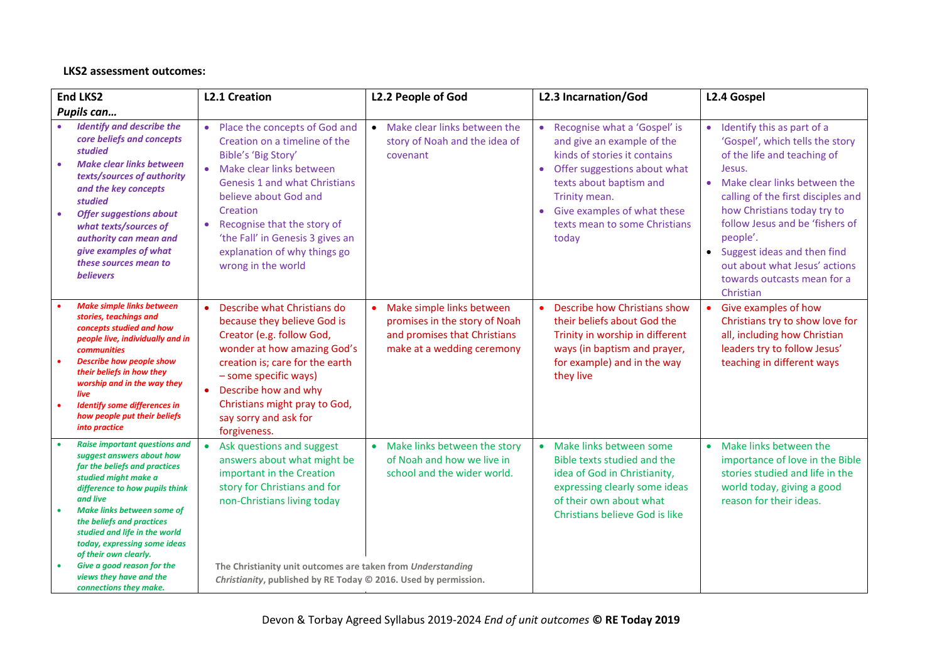## **LKS2 assessment outcomes:**

| <b>End LKS2</b>        |                                                                                                                                                                                                                                                                                                                                                 | <b>L2.1 Creation</b>                                                                                                                                                                                                                                                                                                                                           | L2.2 People of God                                                                                                       | L2.3 Incarnation/God                                                                                                                                                                                                                                           | L2.4 Gospel                                                                                                                                                                                                                                                                                                                                                                                        |
|------------------------|-------------------------------------------------------------------------------------------------------------------------------------------------------------------------------------------------------------------------------------------------------------------------------------------------------------------------------------------------|----------------------------------------------------------------------------------------------------------------------------------------------------------------------------------------------------------------------------------------------------------------------------------------------------------------------------------------------------------------|--------------------------------------------------------------------------------------------------------------------------|----------------------------------------------------------------------------------------------------------------------------------------------------------------------------------------------------------------------------------------------------------------|----------------------------------------------------------------------------------------------------------------------------------------------------------------------------------------------------------------------------------------------------------------------------------------------------------------------------------------------------------------------------------------------------|
|                        | Pupils can                                                                                                                                                                                                                                                                                                                                      |                                                                                                                                                                                                                                                                                                                                                                |                                                                                                                          |                                                                                                                                                                                                                                                                |                                                                                                                                                                                                                                                                                                                                                                                                    |
| $\bullet$<br>$\bullet$ | <b>Identify and describe the</b><br>core beliefs and concepts<br>studied<br><b>Make clear links between</b><br>texts/sources of authority<br>and the key concepts<br>studied<br><b>Offer suggestions about</b><br>what texts/sources of<br>authority can mean and<br>give examples of what<br>these sources mean to<br><b>believers</b>         | Place the concepts of God and<br>$\bullet$<br>Creation on a timeline of the<br>Bible's 'Big Story'<br>Make clear links between<br>$\bullet$<br><b>Genesis 1 and what Christians</b><br>believe about God and<br>Creation<br>Recognise that the story of<br>$\bullet$<br>'the Fall' in Genesis 3 gives an<br>explanation of why things go<br>wrong in the world | Make clear links between the<br>$\bullet$<br>story of Noah and the idea of<br>covenant                                   | • Recognise what a 'Gospel' is<br>and give an example of the<br>kinds of stories it contains<br>Offer suggestions about what<br>$\bullet$<br>texts about baptism and<br>Trinity mean.<br>Give examples of what these<br>texts mean to some Christians<br>today | Identify this as part of a<br>$\bullet$<br>'Gospel', which tells the story<br>of the life and teaching of<br>Jesus.<br>Make clear links between the<br>$\bullet$<br>calling of the first disciples and<br>how Christians today try to<br>follow Jesus and be 'fishers of<br>people'.<br>• Suggest ideas and then find<br>out about what Jesus' actions<br>towards outcasts mean for a<br>Christian |
| $\bullet$              | <b>Make simple links between</b><br>stories, teachings and<br>concepts studied and how<br>people live, individually and in<br><b>communities</b><br><b>Describe how people show</b><br>their beliefs in how they<br>worship and in the way they<br>live<br><b>Identify some differences in</b><br>how people put their beliefs<br>into practice | Describe what Christians do<br>$\bullet$<br>because they believe God is<br>Creator (e.g. follow God,<br>wonder at how amazing God's<br>creation is; care for the earth<br>- some specific ways)<br>Describe how and why<br>$\bullet$<br>Christians might pray to God,<br>say sorry and ask for<br>forgiveness.                                                 | Make simple links between<br>promises in the story of Noah<br>and promises that Christians<br>make at a wedding ceremony | Describe how Christians show<br>their beliefs about God the<br>Trinity in worship in different<br>ways (in baptism and prayer,<br>for example) and in the way<br>they live                                                                                     | • Give examples of how<br>Christians try to show love for<br>all, including how Christian<br>leaders try to follow Jesus'<br>teaching in different ways                                                                                                                                                                                                                                            |
|                        | <b>Raise important questions and</b><br>suggest answers about how<br>far the beliefs and practices<br>studied might make a<br>difference to how pupils think<br>and live<br><b>Make links between some of</b><br>the beliefs and practices<br>studied and life in the world<br>today, expressing some ideas<br>of their own clearly.            | Ask questions and suggest<br>answers about what might be<br>important in the Creation<br>story for Christians and for<br>non-Christians living today                                                                                                                                                                                                           | Make links between the story<br>of Noah and how we live in<br>school and the wider world.                                | • Make links between some<br>Bible texts studied and the<br>idea of God in Christianity,<br>expressing clearly some ideas<br>of their own about what<br>Christians believe God is like                                                                         | Make links between the<br>$\bullet$<br>importance of love in the Bible<br>stories studied and life in the<br>world today, giving a good<br>reason for their ideas.                                                                                                                                                                                                                                 |
|                        | Give a good reason for the<br>views they have and the<br>connections they make.                                                                                                                                                                                                                                                                 | The Christianity unit outcomes are taken from Understanding<br>Christianity, published by RE Today © 2016. Used by permission.                                                                                                                                                                                                                                 |                                                                                                                          |                                                                                                                                                                                                                                                                |                                                                                                                                                                                                                                                                                                                                                                                                    |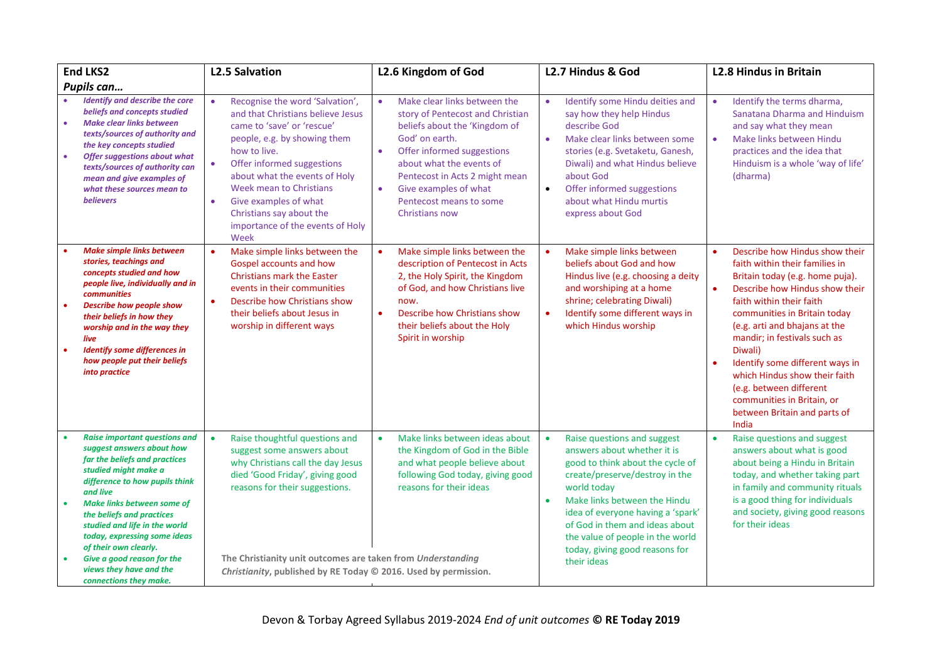| <b>End LKS2</b>                                                                                                                                                                                                                                                                                                                                                                                                                                   | <b>L2.5 Salvation</b>                                                                                                                                                                                                                                                                                                                                                        | L2.6 Kingdom of God                                                                                                                                                                                                                                                                                                          | L2.7 Hindus & God                                                                                                                                                                                                                                                                                                                                                     | <b>L2.8 Hindus in Britain</b>                                                                                                                                                                                                                                                                                                                                                                                                                                                              |
|---------------------------------------------------------------------------------------------------------------------------------------------------------------------------------------------------------------------------------------------------------------------------------------------------------------------------------------------------------------------------------------------------------------------------------------------------|------------------------------------------------------------------------------------------------------------------------------------------------------------------------------------------------------------------------------------------------------------------------------------------------------------------------------------------------------------------------------|------------------------------------------------------------------------------------------------------------------------------------------------------------------------------------------------------------------------------------------------------------------------------------------------------------------------------|-----------------------------------------------------------------------------------------------------------------------------------------------------------------------------------------------------------------------------------------------------------------------------------------------------------------------------------------------------------------------|--------------------------------------------------------------------------------------------------------------------------------------------------------------------------------------------------------------------------------------------------------------------------------------------------------------------------------------------------------------------------------------------------------------------------------------------------------------------------------------------|
| Pupils can                                                                                                                                                                                                                                                                                                                                                                                                                                        |                                                                                                                                                                                                                                                                                                                                                                              |                                                                                                                                                                                                                                                                                                                              |                                                                                                                                                                                                                                                                                                                                                                       |                                                                                                                                                                                                                                                                                                                                                                                                                                                                                            |
| <b>Identify and describe the core</b><br>beliefs and concepts studied<br><b>Make clear links between</b><br>$\bullet$<br>texts/sources of authority and<br>the key concepts studied<br>$\bullet$<br><b>Offer suggestions about what</b><br>texts/sources of authority can<br>mean and give examples of<br>what these sources mean to<br><b>believers</b>                                                                                          | Recognise the word 'Salvation',<br>$\bullet$<br>and that Christians believe Jesus<br>came to 'save' or 'rescue'<br>people, e.g. by showing them<br>how to live.<br>Offer informed suggestions<br>$\bullet$<br>about what the events of Holy<br>Week mean to Christians<br>Give examples of what<br>٠<br>Christians say about the<br>importance of the events of Holy<br>Week | Make clear links between the<br>$\bullet$<br>story of Pentecost and Christian<br>beliefs about the 'Kingdom of<br>God' on earth.<br>$\bullet$<br>Offer informed suggestions<br>about what the events of<br>Pentecost in Acts 2 might mean<br>Give examples of what<br>$\bullet$<br>Pentecost means to some<br>Christians now | Identify some Hindu deities and<br>$\bullet$<br>say how they help Hindus<br>describe God<br>Make clear links between some<br>٠<br>stories (e.g. Svetaketu, Ganesh,<br>Diwali) and what Hindus believe<br>about God<br>Offer informed suggestions<br>$\bullet$<br>about what Hindu murtis<br>express about God                                                         | Identify the terms dharma,<br>$\bullet$<br>Sanatana Dharma and Hinduism<br>and say what they mean<br>Make links between Hindu<br>$\bullet$<br>practices and the idea that<br>Hinduism is a whole 'way of life'<br>(dharma)                                                                                                                                                                                                                                                                 |
| <b>Make simple links between</b><br>stories, teachings and<br>concepts studied and how<br>people live, individually and in<br><b>communities</b><br><b>Describe how people show</b><br>$\bullet$<br>their beliefs in how they<br>worship and in the way they<br>live<br><b>Identify some differences in</b><br>$\bullet$<br>how people put their beliefs<br>into practice                                                                         | Make simple links between the<br>Gospel accounts and how<br><b>Christians mark the Easter</b><br>events in their communities<br>Describe how Christians show<br>$\bullet$<br>their beliefs about Jesus in<br>worship in different ways                                                                                                                                       | Make simple links between the<br>description of Pentecost in Acts<br>2, the Holy Spirit, the Kingdom<br>of God, and how Christians live<br>now.<br>Describe how Christians show<br>$\bullet$<br>their beliefs about the Holy<br>Spirit in worship                                                                            | Make simple links between<br>beliefs about God and how<br>Hindus live (e.g. choosing a deity<br>and worshiping at a home<br>shrine; celebrating Diwali)<br>Identify some different ways in<br>which Hindus worship                                                                                                                                                    | Describe how Hindus show their<br>$\bullet$<br>faith within their families in<br>Britain today (e.g. home puja).<br>Describe how Hindus show their<br>$\bullet$<br>faith within their faith<br>communities in Britain today<br>(e.g. arti and bhajans at the<br>mandir; in festivals such as<br>Diwali)<br>Identify some different ways in<br>$\bullet$<br>which Hindus show their faith<br>(e.g. between different<br>communities in Britain, or<br>between Britain and parts of<br>India |
| <b>Raise important questions and</b><br>$\bullet$<br>suggest answers about how<br>far the beliefs and practices<br>studied might make a<br>difference to how pupils think<br>and live<br><b>Make links between some of</b><br>$\bullet$<br>the beliefs and practices<br>studied and life in the world<br>today, expressing some ideas<br>of their own clearly.<br>Give a good reason for the<br>views they have and the<br>connections they make. | Raise thoughtful questions and<br>$\bullet$<br>suggest some answers about<br>why Christians call the day Jesus<br>died 'Good Friday', giving good<br>reasons for their suggestions.<br>The Christianity unit outcomes are taken from Understanding<br>Christianity, published by RE Today © 2016. Used by permission.                                                        | Make links between ideas about<br>$\bullet$<br>the Kingdom of God in the Bible<br>and what people believe about<br>following God today, giving good<br>reasons for their ideas                                                                                                                                               | Raise questions and suggest<br>$\bullet$<br>answers about whether it is<br>good to think about the cycle of<br>create/preserve/destroy in the<br>world today<br>Make links between the Hindu<br>$\bullet$<br>idea of everyone having a 'spark'<br>of God in them and ideas about<br>the value of people in the world<br>today, giving good reasons for<br>their ideas | Raise questions and suggest<br>$\bullet$<br>answers about what is good<br>about being a Hindu in Britain<br>today, and whether taking part<br>in family and community rituals<br>is a good thing for individuals<br>and society, giving good reasons<br>for their ideas                                                                                                                                                                                                                    |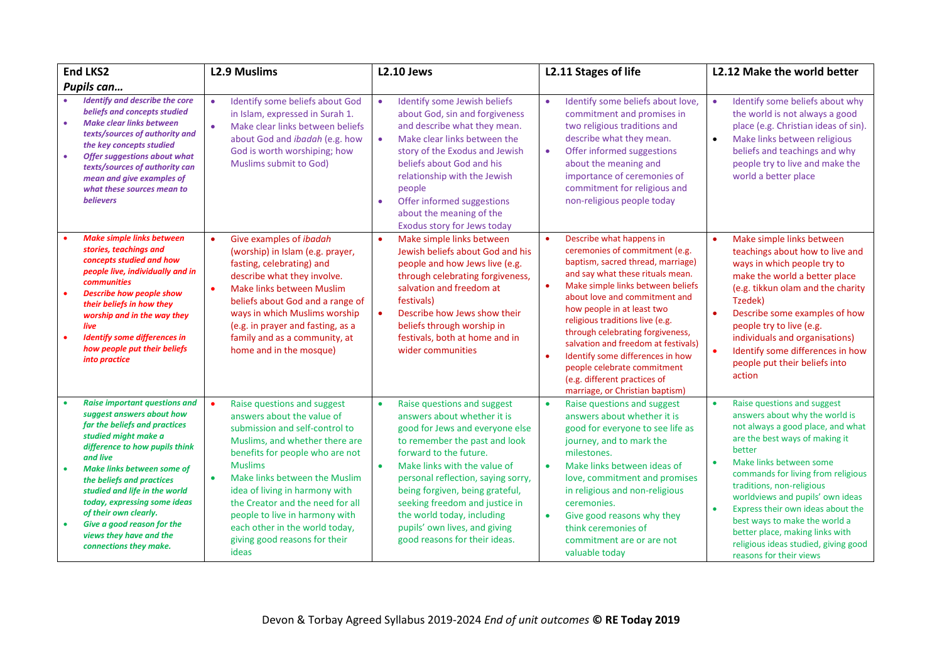| <b>End LKS2</b>                                                                                                                                                                                                                                                                                                                                                                                                                      | <b>L2.9 Muslims</b>                                                                                                                                                                                                                                                                                                                                                                                     | <b>L2.10 Jews</b>                                                                                                                                                                                                                                                                                                                                                                                                | L2.11 Stages of life                                                                                                                                                                                                                                                                                                                                                                                                                                                                        | L2.12 Make the world better                                                                                                                                                                                                                                                                                                                                                                                                                                                                         |
|--------------------------------------------------------------------------------------------------------------------------------------------------------------------------------------------------------------------------------------------------------------------------------------------------------------------------------------------------------------------------------------------------------------------------------------|---------------------------------------------------------------------------------------------------------------------------------------------------------------------------------------------------------------------------------------------------------------------------------------------------------------------------------------------------------------------------------------------------------|------------------------------------------------------------------------------------------------------------------------------------------------------------------------------------------------------------------------------------------------------------------------------------------------------------------------------------------------------------------------------------------------------------------|---------------------------------------------------------------------------------------------------------------------------------------------------------------------------------------------------------------------------------------------------------------------------------------------------------------------------------------------------------------------------------------------------------------------------------------------------------------------------------------------|-----------------------------------------------------------------------------------------------------------------------------------------------------------------------------------------------------------------------------------------------------------------------------------------------------------------------------------------------------------------------------------------------------------------------------------------------------------------------------------------------------|
| Pupils can                                                                                                                                                                                                                                                                                                                                                                                                                           |                                                                                                                                                                                                                                                                                                                                                                                                         |                                                                                                                                                                                                                                                                                                                                                                                                                  |                                                                                                                                                                                                                                                                                                                                                                                                                                                                                             |                                                                                                                                                                                                                                                                                                                                                                                                                                                                                                     |
| <b>Identify and describe the core</b><br>beliefs and concepts studied<br><b>Make clear links between</b><br>$\bullet$<br>texts/sources of authority and<br>the key concepts studied<br><b>Offer suggestions about what</b><br>$\bullet$<br>texts/sources of authority can<br>mean and give examples of<br>what these sources mean to<br><b>believers</b>                                                                             | Identify some beliefs about God<br>in Islam, expressed in Surah 1.<br>Make clear links between beliefs<br>$\bullet$<br>about God and ibadah (e.g. how<br>God is worth worshiping; how<br>Muslims submit to God)                                                                                                                                                                                         | Identify some Jewish beliefs<br>about God, sin and forgiveness<br>and describe what they mean.<br>Make clear links between the<br>$\bullet$<br>story of the Exodus and Jewish<br>beliefs about God and his<br>relationship with the Jewish<br>people<br>Offer informed suggestions<br>about the meaning of the<br>Exodus story for Jews today                                                                    | Identify some beliefs about love,<br>commitment and promises in<br>two religious traditions and<br>describe what they mean.<br>Offer informed suggestions<br>$\bullet$<br>about the meaning and<br>importance of ceremonies of<br>commitment for religious and<br>non-religious people today                                                                                                                                                                                                | Identify some beliefs about why<br>$\bullet$<br>the world is not always a good<br>place (e.g. Christian ideas of sin).<br>Make links between religious<br>$\bullet$<br>beliefs and teachings and why<br>people try to live and make the<br>world a better place                                                                                                                                                                                                                                     |
| <b>Make simple links between</b><br>stories, teachings and<br>concepts studied and how<br>people live, individually and in<br><b>communities</b><br><b>Describe how people show</b><br>$\bullet$<br>their beliefs in how they<br>worship and in the way they<br>live<br><b>Identify some differences in</b><br>$\bullet$<br>how people put their beliefs<br>into practice                                                            | Give examples of <i>ibadah</i><br>$\bullet$<br>(worship) in Islam (e.g. prayer,<br>fasting, celebrating) and<br>describe what they involve.<br>Make links between Muslim<br>$\bullet$<br>beliefs about God and a range of<br>ways in which Muslims worship<br>(e.g. in prayer and fasting, as a<br>family and as a community, at<br>home and in the mosque)                                             | Make simple links between<br>Jewish beliefs about God and his<br>people and how Jews live (e.g.<br>through celebrating forgiveness,<br>salvation and freedom at<br>festivals)<br>Describe how Jews show their<br>beliefs through worship in<br>festivals, both at home and in<br>wider communities                                                                                                               | Describe what happens in<br>ceremonies of commitment (e.g.<br>baptism, sacred thread, marriage)<br>and say what these rituals mean.<br>Make simple links between beliefs<br>about love and commitment and<br>how people in at least two<br>religious traditions live (e.g.<br>through celebrating forgiveness,<br>salvation and freedom at festivals)<br>Identify some differences in how<br>people celebrate commitment<br>(e.g. different practices of<br>marriage, or Christian baptism) | Make simple links between<br>$\bullet$<br>teachings about how to live and<br>ways in which people try to<br>make the world a better place<br>(e.g. tikkun olam and the charity<br>Tzedek)<br>$\bullet$<br>Describe some examples of how<br>people try to live (e.g.<br>individuals and organisations)<br>$\bullet$<br>Identify some differences in how<br>people put their beliefs into<br>action                                                                                                   |
| <b>Raise important questions and</b><br>suggest answers about how<br>far the beliefs and practices<br>studied might make a<br>difference to how pupils think<br>and live<br><b>Make links between some of</b><br>the beliefs and practices<br>studied and life in the world<br>today, expressing some ideas<br>of their own clearly.<br>Give a good reason for the<br>$\bullet$<br>views they have and the<br>connections they make. | Raise questions and suggest<br>answers about the value of<br>submission and self-control to<br>Muslims, and whether there are<br>benefits for people who are not<br><b>Muslims</b><br>Make links between the Muslim<br>idea of living in harmony with<br>the Creator and the need for all<br>people to live in harmony with<br>each other in the world today,<br>giving good reasons for their<br>ideas | Raise questions and suggest<br>answers about whether it is<br>good for Jews and everyone else<br>to remember the past and look<br>forward to the future.<br>Make links with the value of<br>$\bullet$<br>personal reflection, saying sorry,<br>being forgiven, being grateful,<br>seeking freedom and justice in<br>the world today, including<br>pupils' own lives, and giving<br>good reasons for their ideas. | Raise questions and suggest<br>$\bullet$<br>answers about whether it is<br>good for everyone to see life as<br>journey, and to mark the<br>milestones.<br>Make links between ideas of<br>$\bullet$<br>love, commitment and promises<br>in religious and non-religious<br>ceremonies.<br>Give good reasons why they<br>think ceremonies of<br>commitment are or are not<br>valuable today                                                                                                    | Raise questions and suggest<br>$\bullet$<br>answers about why the world is<br>not always a good place, and what<br>are the best ways of making it<br>better<br>Make links between some<br>$\bullet$<br>commands for living from religious<br>traditions, non-religious<br>worldviews and pupils' own ideas<br>Express their own ideas about the<br>$\bullet$<br>best ways to make the world a<br>better place, making links with<br>religious ideas studied, giving good<br>reasons for their views |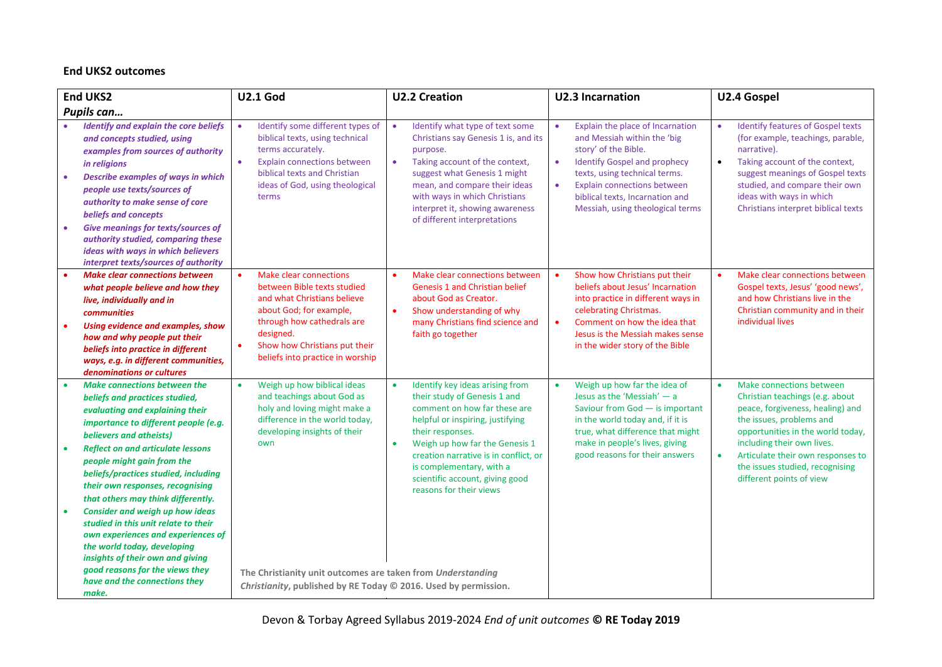## **End UKS2 outcomes**

|           | <b>End UKS2</b>                                                                                                                                                                                                                                                                                                                                                                                                                           | <b>U2.1 God</b>                                                                                                                                                                                                                                                  | <b>U2.2 Creation</b>                                                                                                                                                                                                                                                                                                                      | <b>U2.3 Incarnation</b>                                                                                                                                                                                                                                                                                      | U2.4 Gospel                                                                                                                                                                                                                                                                                                     |
|-----------|-------------------------------------------------------------------------------------------------------------------------------------------------------------------------------------------------------------------------------------------------------------------------------------------------------------------------------------------------------------------------------------------------------------------------------------------|------------------------------------------------------------------------------------------------------------------------------------------------------------------------------------------------------------------------------------------------------------------|-------------------------------------------------------------------------------------------------------------------------------------------------------------------------------------------------------------------------------------------------------------------------------------------------------------------------------------------|--------------------------------------------------------------------------------------------------------------------------------------------------------------------------------------------------------------------------------------------------------------------------------------------------------------|-----------------------------------------------------------------------------------------------------------------------------------------------------------------------------------------------------------------------------------------------------------------------------------------------------------------|
|           | Pupils can                                                                                                                                                                                                                                                                                                                                                                                                                                |                                                                                                                                                                                                                                                                  |                                                                                                                                                                                                                                                                                                                                           |                                                                                                                                                                                                                                                                                                              |                                                                                                                                                                                                                                                                                                                 |
|           | <b>Identify and explain the core beliefs</b><br>and concepts studied, using<br>examples from sources of authority<br>in religions<br><b>Describe examples of ways in which</b><br>people use texts/sources of<br>authority to make sense of core<br>beliefs and concepts<br><b>Give meanings for texts/sources of</b><br>authority studied, comparing these<br>ideas with ways in which believers<br>interpret texts/sources of authority | Identify some different types of<br>$\bullet$<br>biblical texts, using technical<br>terms accurately.<br>$\bullet$<br><b>Explain connections between</b><br>biblical texts and Christian<br>ideas of God, using theological<br>terms                             | Identify what type of text some<br>$\bullet$<br>Christians say Genesis 1 is, and its<br>purpose.<br>Taking account of the context,<br>$\bullet$<br>suggest what Genesis 1 might<br>mean, and compare their ideas<br>with ways in which Christians<br>interpret it, showing awareness<br>of different interpretations                      | Explain the place of Incarnation<br>$\bullet$<br>and Messiah within the 'big<br>story' of the Bible.<br>$\bullet$<br><b>Identify Gospel and prophecy</b><br>texts, using technical terms.<br>Explain connections between<br>$\bullet$<br>biblical texts, Incarnation and<br>Messiah, using theological terms | <b>Identify features of Gospel texts</b><br>$\bullet$<br>(for example, teachings, parable,<br>narrative).<br>$\bullet$<br>Taking account of the context,<br>suggest meanings of Gospel texts<br>studied, and compare their own<br>ideas with ways in which<br>Christians interpret biblical texts               |
| $\bullet$ | <b>Make clear connections between</b><br>what people believe and how they<br>live, individually and in<br><b>communities</b><br>Using evidence and examples, show<br>how and why people put their<br>beliefs into practice in different<br>ways, e.g. in different communities,<br>denominations or cultures                                                                                                                              | <b>Make clear connections</b><br>$\bullet$<br>between Bible texts studied<br>and what Christians believe<br>about God; for example,<br>through how cathedrals are<br>designed.<br>Show how Christians put their<br>$\bullet$<br>beliefs into practice in worship | Make clear connections between<br>$\bullet$<br><b>Genesis 1 and Christian belief</b><br>about God as Creator.<br>Show understanding of why<br>$\bullet$<br>many Christians find science and<br>faith go together                                                                                                                          | Show how Christians put their<br>beliefs about Jesus' Incarnation<br>into practice in different ways in<br>celebrating Christmas.<br>Comment on how the idea that<br>$\bullet$<br>Jesus is the Messiah makes sense<br>in the wider story of the Bible                                                        | Make clear connections between<br>$\bullet$<br>Gospel texts, Jesus' 'good news',<br>and how Christians live in the<br>Christian community and in their<br>individual lives                                                                                                                                      |
|           | <b>Make connections between the</b><br>beliefs and practices studied,<br>evaluating and explaining their<br>importance to different people (e.g.<br>believers and atheists)<br><b>Reflect on and articulate lessons</b><br>people might gain from the<br>beliefs/practices studied, including<br>their own responses, recognising<br>that others may think differently.                                                                   | Weigh up how biblical ideas<br>$\bullet$<br>and teachings about God as<br>holy and loving might make a<br>difference in the world today,<br>developing insights of their<br>own                                                                                  | Identify key ideas arising from<br>their study of Genesis 1 and<br>comment on how far these are<br>helpful or inspiring, justifying<br>their responses.<br>Weigh up how far the Genesis 1<br>$\bullet$<br>creation narrative is in conflict, or<br>is complementary, with a<br>scientific account, giving good<br>reasons for their views | Weigh up how far the idea of<br>$\bullet$<br>Jesus as the 'Messiah' $-$ a<br>Saviour from God - is important<br>in the world today and, if it is<br>true, what difference that might<br>make in people's lives, giving<br>good reasons for their answers                                                     | Make connections between<br>Christian teachings (e.g. about<br>peace, forgiveness, healing) and<br>the issues, problems and<br>opportunities in the world today,<br>including their own lives.<br>Articulate their own responses to<br>$\bullet$<br>the issues studied, recognising<br>different points of view |
|           | <b>Consider and weigh up how ideas</b><br>studied in this unit relate to their<br>own experiences and experiences of<br>the world today, developing<br>insights of their own and giving<br>good reasons for the views they<br>have and the connections they<br>make.                                                                                                                                                                      | The Christianity unit outcomes are taken from Understanding<br>Christianity, published by RE Today © 2016. Used by permission.                                                                                                                                   |                                                                                                                                                                                                                                                                                                                                           |                                                                                                                                                                                                                                                                                                              |                                                                                                                                                                                                                                                                                                                 |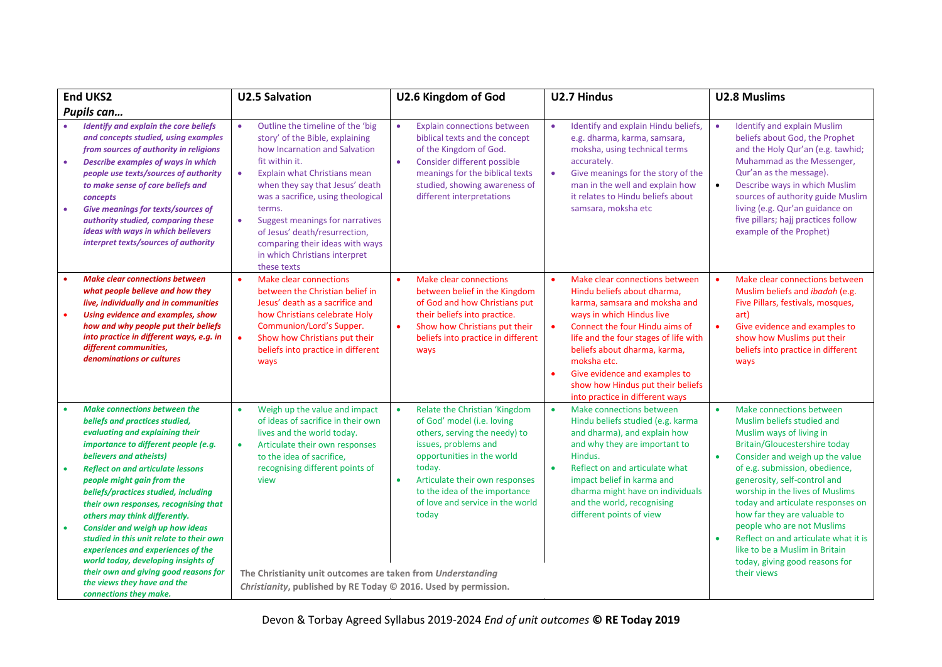| <b>End UKS2</b>                                                                                                                                                                                                                                                                                                                                                                                                                                                            | <b>U2.5 Salvation</b>                                                                                                                                                                                                                                                                                                                                                                                                                   | U2.6 Kingdom of God                                                                                                                                                                                                                                                                                    | U2.7 Hindus                                                                                                                                                                                                                                                                                                                                                                 | <b>U2.8 Muslims</b>                                                                                                                                                                                                                                                                                                                                                                                                                                  |
|----------------------------------------------------------------------------------------------------------------------------------------------------------------------------------------------------------------------------------------------------------------------------------------------------------------------------------------------------------------------------------------------------------------------------------------------------------------------------|-----------------------------------------------------------------------------------------------------------------------------------------------------------------------------------------------------------------------------------------------------------------------------------------------------------------------------------------------------------------------------------------------------------------------------------------|--------------------------------------------------------------------------------------------------------------------------------------------------------------------------------------------------------------------------------------------------------------------------------------------------------|-----------------------------------------------------------------------------------------------------------------------------------------------------------------------------------------------------------------------------------------------------------------------------------------------------------------------------------------------------------------------------|------------------------------------------------------------------------------------------------------------------------------------------------------------------------------------------------------------------------------------------------------------------------------------------------------------------------------------------------------------------------------------------------------------------------------------------------------|
| Pupils can                                                                                                                                                                                                                                                                                                                                                                                                                                                                 |                                                                                                                                                                                                                                                                                                                                                                                                                                         |                                                                                                                                                                                                                                                                                                        |                                                                                                                                                                                                                                                                                                                                                                             |                                                                                                                                                                                                                                                                                                                                                                                                                                                      |
| <b>Identify and explain the core beliefs</b><br>and concepts studied, using examples<br>from sources of authority in religions<br><b>Describe examples of ways in which</b><br>$\bullet$<br>people use texts/sources of authority<br>to make sense of core beliefs and<br>concepts<br><b>Give meanings for texts/sources of</b><br>$\bullet$<br>authority studied, comparing these<br>ideas with ways in which believers<br>interpret texts/sources of authority           | Outline the timeline of the 'big<br>$\bullet$<br>story' of the Bible, explaining<br>how Incarnation and Salvation<br>fit within it.<br>Explain what Christians mean<br>$\bullet$<br>when they say that Jesus' death<br>was a sacrifice, using theological<br>terms.<br>Suggest meanings for narratives<br>$\bullet$<br>of Jesus' death/resurrection,<br>comparing their ideas with ways<br>in which Christians interpret<br>these texts | <b>Explain connections between</b><br>$\bullet$<br>biblical texts and the concept<br>of the Kingdom of God.<br>Consider different possible<br>$\bullet$<br>meanings for the biblical texts<br>studied, showing awareness of<br>different interpretations                                               | Identify and explain Hindu beliefs,<br>e.g. dharma, karma, samsara,<br>moksha, using technical terms<br>accurately.<br>Give meanings for the story of the<br>$\bullet$<br>man in the well and explain how<br>it relates to Hindu beliefs about<br>samsara, moksha etc                                                                                                       | <b>Identify and explain Muslim</b><br>$\bullet$<br>beliefs about God, the Prophet<br>and the Holy Qur'an (e.g. tawhid;<br>Muhammad as the Messenger,<br>Qur'an as the message).<br>Describe ways in which Muslim<br>$\bullet$<br>sources of authority guide Muslim<br>living (e.g. Qur'an guidance on<br>five pillars; hajj practices follow<br>example of the Prophet)                                                                              |
| <b>Make clear connections between</b><br>what people believe and how they<br>live, individually and in communities<br>Using evidence and examples, show<br>how and why people put their beliefs<br>into practice in different ways, e.g. in<br>different communities,<br>denominations or cultures                                                                                                                                                                         | <b>Make clear connections</b><br>between the Christian belief in<br>Jesus' death as a sacrifice and<br>how Christians celebrate Holy<br>Communion/Lord's Supper.<br>Show how Christians put their<br>$\bullet$<br>beliefs into practice in different<br>ways                                                                                                                                                                            | Make clear connections<br>between belief in the Kingdom<br>of God and how Christians put<br>their beliefs into practice.<br>Show how Christians put their<br>$\bullet$<br>beliefs into practice in different<br>ways                                                                                   | Make clear connections between<br>Hindu beliefs about dharma,<br>karma, samsara and moksha and<br>ways in which Hindus live<br>Connect the four Hindu aims of<br>$\bullet$<br>life and the four stages of life with<br>beliefs about dharma, karma,<br>moksha etc.<br>Give evidence and examples to<br>show how Hindus put their beliefs<br>into practice in different ways | Make clear connections between<br>$\bullet$<br>Muslim beliefs and <i>ibadah</i> (e.g.<br>Five Pillars, festivals, mosques,<br>art)<br>Give evidence and examples to<br>$\bullet$<br>show how Muslims put their<br>beliefs into practice in different<br>ways                                                                                                                                                                                         |
| <b>Make connections between the</b><br>beliefs and practices studied,<br>evaluating and explaining their<br>importance to different people (e.g.<br>believers and atheists)<br><b>Reflect on and articulate lessons</b><br>people might gain from the<br>beliefs/practices studied, including<br>their own responses, recognising that<br>others may think differently.<br><b>Consider and weigh up how ideas</b><br>$\bullet$<br>studied in this unit relate to their own | Weigh up the value and impact<br>٠<br>of ideas of sacrifice in their own<br>lives and the world today.<br>Articulate their own responses<br>$\bullet$<br>to the idea of sacrifice,<br>recognising different points of<br>view                                                                                                                                                                                                           | Relate the Christian 'Kingdom<br>$\bullet$<br>of God' model (i.e. loving<br>others, serving the needy) to<br>issues, problems and<br>opportunities in the world<br>today.<br>Articulate their own responses<br>$\bullet$<br>to the idea of the importance<br>of love and service in the world<br>today | Make connections between<br>Hindu beliefs studied (e.g. karma<br>and dharma), and explain how<br>and why they are important to<br>Hindus.<br>Reflect on and articulate what<br>$\bullet$<br>impact belief in karma and<br>dharma might have on individuals<br>and the world, recognising<br>different points of view                                                        | Make connections between<br>$\bullet$<br>Muslim beliefs studied and<br>Muslim ways of living in<br><b>Britain/Gloucestershire today</b><br>Consider and weigh up the value<br>$\bullet$<br>of e.g. submission, obedience,<br>generosity, self-control and<br>worship in the lives of Muslims<br>today and articulate responses on<br>how far they are valuable to<br>people who are not Muslims<br>Reflect on and articulate what it is<br>$\bullet$ |
| experiences and experiences of the<br>world today, developing insights of<br>their own and giving good reasons for<br>the views they have and the<br>connections they make.                                                                                                                                                                                                                                                                                                | The Christianity unit outcomes are taken from Understanding<br>Christianity, published by RE Today © 2016. Used by permission.                                                                                                                                                                                                                                                                                                          |                                                                                                                                                                                                                                                                                                        |                                                                                                                                                                                                                                                                                                                                                                             | like to be a Muslim in Britain<br>today, giving good reasons for<br>their views                                                                                                                                                                                                                                                                                                                                                                      |